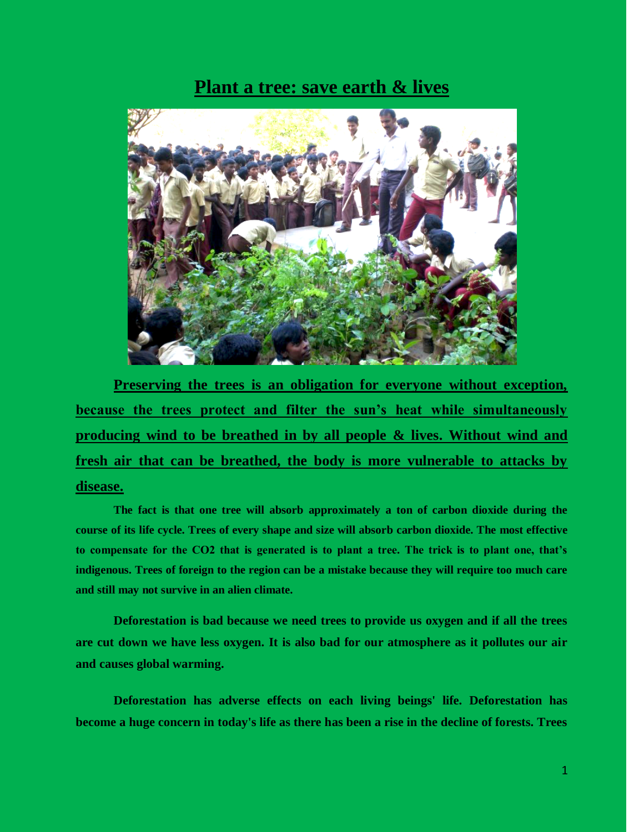## **Plant a tree: save earth & lives**



**Preserving the trees is an obligation for everyone without exception, because the trees protect and filter the sun's heat while simultaneously producing wind to be breathed in by all people & lives. Without wind and fresh air that can be breathed, the body is more vulnerable to attacks by disease.** 

**The fact is that one tree will absorb approximately a ton of carbon dioxide during the course of its life cycle. Trees of every shape and size will absorb carbon dioxide. The most effective to compensate for the CO2 that is generated is to plant a tree. The trick is to plant one, that's indigenous. Trees of foreign to the region can be a mistake because they will require too much care and still may not survive in an alien climate.**

**Deforestation is bad because we need trees to provide us oxygen and if all the trees are cut down we have less oxygen. It is also bad for our atmosphere as it pollutes our air and causes global warming.**

**Deforestation has adverse effects on each living beings' life. Deforestation has become a huge concern in today's life as there has been a rise in the decline of forests. Trees**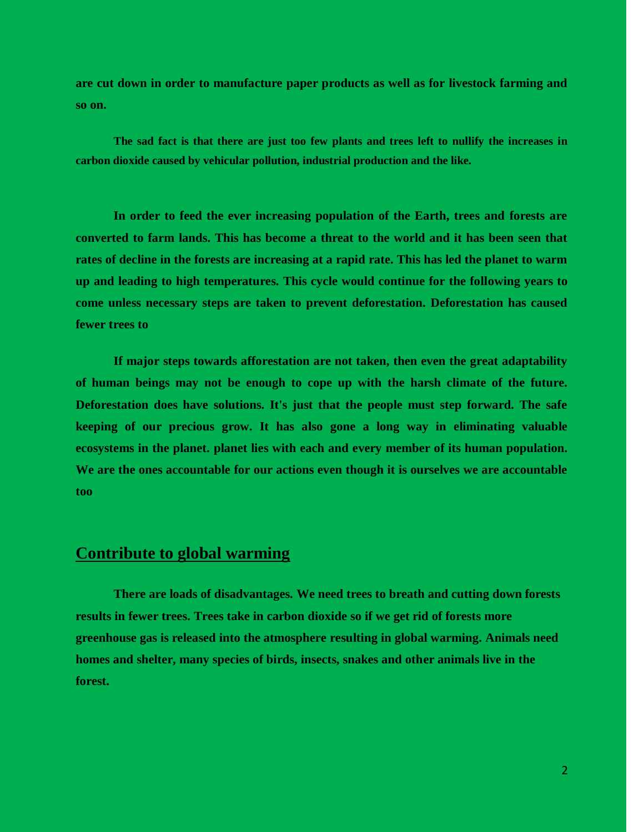**are cut down in order to manufacture paper products as well as for livestock farming and so on.**

**The sad fact is that there are just too few plants and trees left to nullify the increases in carbon dioxide caused by vehicular pollution, industrial production and the like.**

**In order to feed the ever increasing population of the Earth, trees and forests are converted to farm lands. This has become a threat to the world and it has been seen that rates of decline in the forests are increasing at a rapid rate. This has led the planet to warm up and leading to high temperatures. This cycle would continue for the following years to come unless necessary steps are taken to prevent deforestation. Deforestation has caused fewer trees to** 

**If major steps towards afforestation are not taken, then even the great adaptability of human beings may not be enough to cope up with the harsh climate of the future. Deforestation does have solutions. It's just that the people must step forward. The safe keeping of our precious grow. It has also gone a long way in eliminating valuable ecosystems in the planet. planet lies with each and every member of its human population. We are the ones accountable for our actions even though it is ourselves we are accountable too**

## **Contribute to global warming**

**There are loads of disadvantages. We need trees to breath and cutting down forests results in fewer trees. Trees take in carbon dioxide so if we get rid of forests more greenhouse gas is released into the atmosphere resulting in global warming. Animals need homes and shelter, many species of birds, insects, snakes and other animals live in the forest.**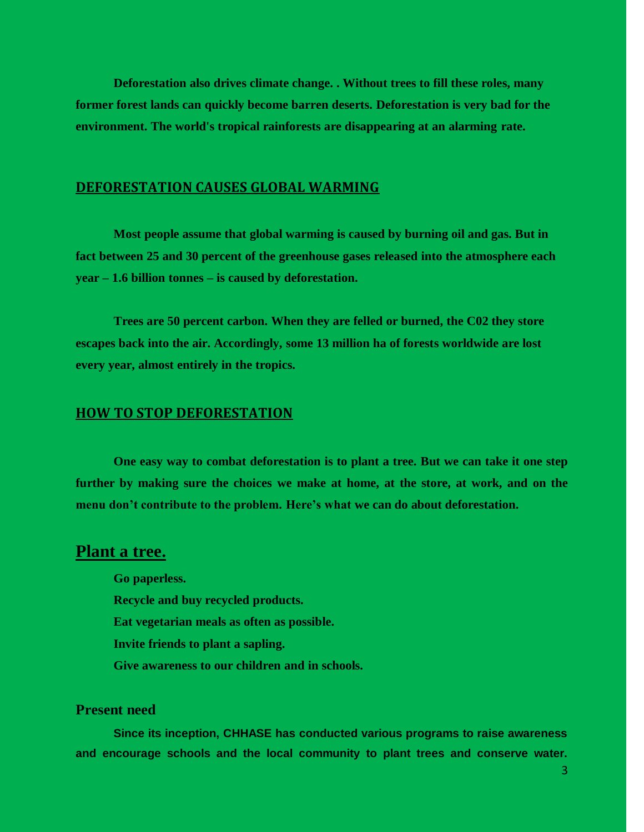**Deforestation also drives climate change. . Without trees to fill these roles, many former forest lands can quickly become barren deserts. Deforestation is very bad for the environment. The world's tropical rainforests are disappearing at an alarming rate.** 

## **DEFORESTATION CAUSES GLOBAL WARMING**

**Most people assume that global warming is caused by burning oil and gas. But in fact between 25 and 30 percent of the greenhouse gases released into the atmosphere each year – 1.6 billion tonnes – is caused by deforestation.** 

**Trees are 50 percent carbon. When they are felled or burned, the C02 they store escapes back into the air. Accordingly, some 13 million ha of forests worldwide are lost every year, almost entirely in the tropics.** 

#### **HOW TO STOP DEFORESTATION**

**One easy way to combat deforestation is to plant a tree. But we can take it one step further by making sure the choices we make at home, at the store, at work, and on the menu don't contribute to the problem. Here's what we can do about deforestation.**

## **Plant a tree.**

**Go paperless. Recycle and buy recycled products. Eat vegetarian meals as often as possible. Invite friends to plant a sapling. Give awareness to our children and in schools.**

### **Present need**

**Since its inception, CHHASE has conducted various programs to raise awareness and encourage schools and the local community to plant trees and conserve water.**